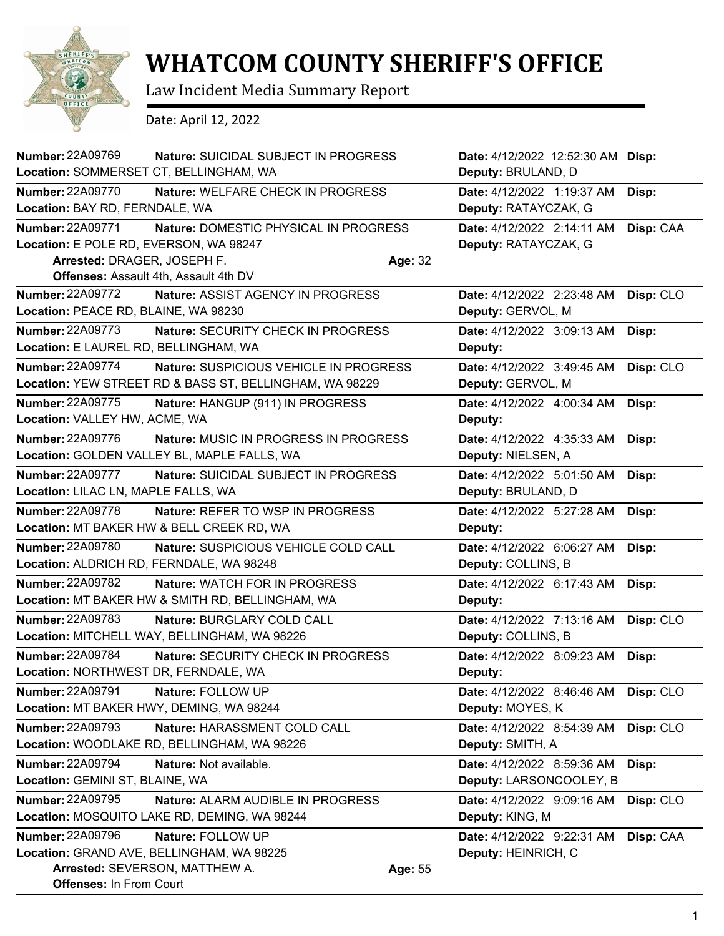

## **WHATCOM COUNTY SHERIFF'S OFFICE**

Law Incident Media Summary Report

Date: April 12, 2022

| Number: 22A09769                                           | <b>Nature: SUICIDAL SUBJECT IN PROGRESS</b>             |         | Date: 4/12/2022 12:52:30 AM Disp:                  |           |
|------------------------------------------------------------|---------------------------------------------------------|---------|----------------------------------------------------|-----------|
| Location: SOMMERSET CT, BELLINGHAM, WA                     |                                                         |         | Deputy: BRULAND, D                                 |           |
| <b>Number: 22A09770</b><br>Location: BAY RD, FERNDALE, WA  | Nature: WELFARE CHECK IN PROGRESS                       |         | Date: 4/12/2022 1:19:37 AM<br>Deputy: RATAYCZAK, G | Disp:     |
| Number: 22A09771<br>Location: E POLE RD, EVERSON, WA 98247 | Nature: DOMESTIC PHYSICAL IN PROGRESS                   |         | Date: 4/12/2022 2:14:11 AM<br>Deputy: RATAYCZAK, G | Disp: CAA |
| Arrested: DRAGER, JOSEPH F.                                |                                                         | Age: 32 |                                                    |           |
|                                                            | Offenses: Assault 4th, Assault 4th DV                   |         |                                                    |           |
| <b>Number: 22A09772</b>                                    | Nature: ASSIST AGENCY IN PROGRESS                       |         | Date: 4/12/2022 2:23:48 AM                         | Disp: CLO |
| Location: PEACE RD, BLAINE, WA 98230                       |                                                         |         | Deputy: GERVOL, M                                  |           |
| <b>Number: 22A09773</b>                                    | <b>Nature: SECURITY CHECK IN PROGRESS</b>               |         | Date: 4/12/2022 3:09:13 AM                         | Disp:     |
| Location: E LAUREL RD, BELLINGHAM, WA                      |                                                         |         | Deputy:                                            |           |
| <b>Number: 22A09774</b>                                    | Nature: SUSPICIOUS VEHICLE IN PROGRESS                  |         | Date: 4/12/2022 3:49:45 AM                         | Disp: CLO |
|                                                            | Location: YEW STREET RD & BASS ST, BELLINGHAM, WA 98229 |         | Deputy: GERVOL, M                                  |           |
| <b>Number: 22A09775</b>                                    | Nature: HANGUP (911) IN PROGRESS                        |         | Date: 4/12/2022 4:00:34 AM                         | Disp:     |
| Location: VALLEY HW, ACME, WA                              |                                                         |         | Deputy:                                            |           |
| Number: 22A09776                                           | <b>Nature: MUSIC IN PROGRESS IN PROGRESS</b>            |         | Date: 4/12/2022 4:35:33 AM                         | Disp:     |
|                                                            | Location: GOLDEN VALLEY BL, MAPLE FALLS, WA             |         | Deputy: NIELSEN, A                                 |           |
| <b>Number: 22A09777</b>                                    | Nature: SUICIDAL SUBJECT IN PROGRESS                    |         | Date: 4/12/2022 5:01:50 AM                         | Disp:     |
| Location: LILAC LN, MAPLE FALLS, WA                        |                                                         |         | Deputy: BRULAND, D                                 |           |
| Number: 22A09778                                           | Nature: REFER TO WSP IN PROGRESS                        |         | Date: 4/12/2022 5:27:28 AM                         | Disp:     |
|                                                            | Location: MT BAKER HW & BELL CREEK RD, WA               |         | Deputy:                                            |           |
| Number: 22A09780                                           | Nature: SUSPICIOUS VEHICLE COLD CALL                    |         | Date: 4/12/2022 6:06:27 AM                         | Disp:     |
| Location: ALDRICH RD, FERNDALE, WA 98248                   |                                                         |         | Deputy: COLLINS, B                                 |           |
| <b>Number: 22A09782</b>                                    | <b>Nature: WATCH FOR IN PROGRESS</b>                    |         | Date: 4/12/2022 6:17:43 AM                         | Disp:     |
|                                                            | Location: MT BAKER HW & SMITH RD, BELLINGHAM, WA        |         | Deputy:                                            |           |
| Number: 22A09783                                           | Nature: BURGLARY COLD CALL                              |         | Date: 4/12/2022 7:13:16 AM                         | Disp: CLO |
|                                                            | Location: MITCHELL WAY, BELLINGHAM, WA 98226            |         | Deputy: COLLINS, B                                 |           |
| Number: 22A09784                                           | Nature: SECURITY CHECK IN PROGRESS                      |         | Date: 4/12/2022 8:09:23 AM                         | Disp:     |
| Location: NORTHWEST DR, FERNDALE, WA                       |                                                         |         | Deputy:                                            |           |
| Number: 22A09791                                           | Nature: FOLLOW UP                                       |         | Date: 4/12/2022 8:46:46 AM Disp: CLO               |           |
| Location: MT BAKER HWY, DEMING, WA 98244                   |                                                         |         | Deputy: MOYES, K                                   |           |
| <b>Number: 22A09793</b>                                    | Nature: HARASSMENT COLD CALL                            |         | Date: 4/12/2022 8:54:39 AM                         | Disp: CLO |
|                                                            | Location: WOODLAKE RD, BELLINGHAM, WA 98226             |         | Deputy: SMITH, A                                   |           |
| <b>Number: 22A09794</b>                                    | Nature: Not available.                                  |         | Date: 4/12/2022 8:59:36 AM                         | Disp:     |
| Location: GEMINI ST, BLAINE, WA                            |                                                         |         | Deputy: LARSONCOOLEY, B                            |           |
| Number: 22A09795                                           | Nature: ALARM AUDIBLE IN PROGRESS                       |         | Date: 4/12/2022 9:09:16 AM                         | Disp: CLO |
|                                                            | Location: MOSQUITO LAKE RD, DEMING, WA 98244            |         | Deputy: KING, M                                    |           |
| <b>Number: 22A09796</b>                                    | Nature: FOLLOW UP                                       |         | Date: 4/12/2022 9:22:31 AM                         | Disp: CAA |
|                                                            | Location: GRAND AVE, BELLINGHAM, WA 98225               |         | Deputy: HEINRICH, C                                |           |
|                                                            | Arrested: SEVERSON, MATTHEW A.                          | Age: 55 |                                                    |           |
| <b>Offenses: In From Court</b>                             |                                                         |         |                                                    |           |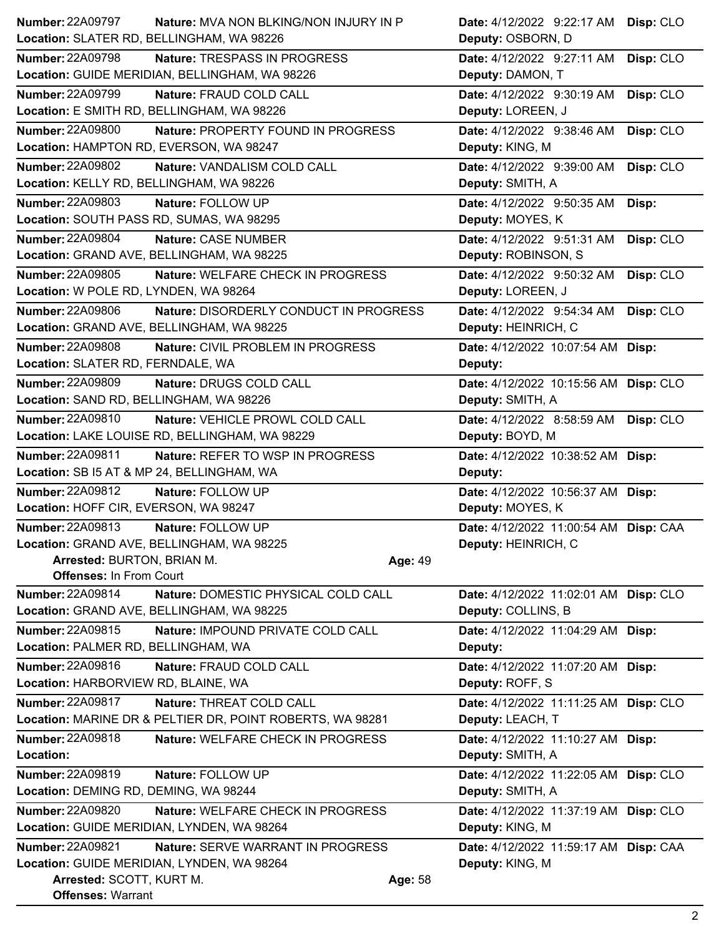| <b>Number: 22A09797</b>                    | <b>Nature: MVA NON BLKING/NON INJURY IN P</b>             | Date: 4/12/2022 9:22:17 AM            | Disp: CLO |
|--------------------------------------------|-----------------------------------------------------------|---------------------------------------|-----------|
| Location: SLATER RD, BELLINGHAM, WA 98226  |                                                           | Deputy: OSBORN, D                     |           |
| <b>Number: 22A09798</b>                    | Nature: TRESPASS IN PROGRESS                              | Date: 4/12/2022 9:27:11 AM            | Disp: CLO |
|                                            | Location: GUIDE MERIDIAN, BELLINGHAM, WA 98226            | Deputy: DAMON, T                      |           |
| <b>Number: 22A09799</b>                    | Nature: FRAUD COLD CALL                                   | Date: 4/12/2022 9:30:19 AM            | Disp: CLO |
| Location: E SMITH RD, BELLINGHAM, WA 98226 |                                                           | Deputy: LOREEN, J                     |           |
| <b>Number: 22A09800</b>                    | Nature: PROPERTY FOUND IN PROGRESS                        | Date: 4/12/2022 9:38:46 AM            | Disp: CLO |
| Location: HAMPTON RD, EVERSON, WA 98247    |                                                           | Deputy: KING, M                       |           |
| <b>Number: 22A09802</b>                    | Nature: VANDALISM COLD CALL                               | Date: 4/12/2022 9:39:00 AM            | Disp: CLO |
| Location: KELLY RD, BELLINGHAM, WA 98226   |                                                           | Deputy: SMITH, A                      |           |
| Number: 22A09803                           | Nature: FOLLOW UP                                         | Date: 4/12/2022 9:50:35 AM            | Disp:     |
| Location: SOUTH PASS RD, SUMAS, WA 98295   |                                                           | Deputy: MOYES, K                      |           |
| Number: 22A09804                           | Nature: CASE NUMBER                                       | Date: 4/12/2022 9:51:31 AM            | Disp: CLO |
| Location: GRAND AVE, BELLINGHAM, WA 98225  |                                                           | Deputy: ROBINSON, S                   |           |
| Number: 22A09805                           | Nature: WELFARE CHECK IN PROGRESS                         | Date: 4/12/2022 9:50:32 AM            | Disp: CLO |
| Location: W POLE RD, LYNDEN, WA 98264      |                                                           | Deputy: LOREEN, J                     |           |
| <b>Number: 22A09806</b>                    | Nature: DISORDERLY CONDUCT IN PROGRESS                    | Date: 4/12/2022 9:54:34 AM            | Disp: CLO |
|                                            | Location: GRAND AVE, BELLINGHAM, WA 98225                 | Deputy: HEINRICH, C                   |           |
| Number: 22A09808                           | Nature: CIVIL PROBLEM IN PROGRESS                         | Date: 4/12/2022 10:07:54 AM Disp:     |           |
| Location: SLATER RD, FERNDALE, WA          |                                                           | Deputy:                               |           |
| <b>Number: 22A09809</b>                    | Nature: DRUGS COLD CALL                                   | Date: 4/12/2022 10:15:56 AM Disp: CLO |           |
| Location: SAND RD, BELLINGHAM, WA 98226    |                                                           | Deputy: SMITH, A                      |           |
| Number: 22A09810                           | Nature: VEHICLE PROWL COLD CALL                           | Date: 4/12/2022 8:58:59 AM            | Disp: CLO |
|                                            | Location: LAKE LOUISE RD, BELLINGHAM, WA 98229            | Deputy: BOYD, M                       |           |
| <b>Number: 22A09811</b>                    | Nature: REFER TO WSP IN PROGRESS                          | Date: 4/12/2022 10:38:52 AM Disp:     |           |
| Location: SB I5 AT & MP 24, BELLINGHAM, WA |                                                           | Deputy:                               |           |
| <b>Number: 22A09812</b>                    | Nature: FOLLOW UP                                         | Date: 4/12/2022 10:56:37 AM Disp:     |           |
| Location: HOFF CIR, EVERSON, WA 98247      |                                                           | Deputy: MOYES, K                      |           |
| Number: 22A09813                           | Nature: FOLLOW UP                                         | Date: 4/12/2022 11:00:54 AM Disp: CAA |           |
|                                            | Location: GRAND AVE, BELLINGHAM, WA 98225                 | Deputy: HEINRICH, C                   |           |
| Arrested: BURTON, BRIAN M.                 |                                                           | Age: 49                               |           |
| <b>Offenses: In From Court</b>             |                                                           |                                       |           |
| Number: 22A09814                           | Nature: DOMESTIC PHYSICAL COLD CALL                       | Date: 4/12/2022 11:02:01 AM Disp: CLO |           |
|                                            | Location: GRAND AVE, BELLINGHAM, WA 98225                 | Deputy: COLLINS, B                    |           |
| Number: 22A09815                           | Nature: IMPOUND PRIVATE COLD CALL                         | Date: 4/12/2022 11:04:29 AM Disp:     |           |
| Location: PALMER RD, BELLINGHAM, WA        |                                                           | Deputy:                               |           |
| Number: 22A09816                           | Nature: FRAUD COLD CALL                                   | Date: 4/12/2022 11:07:20 AM Disp:     |           |
| Location: HARBORVIEW RD, BLAINE, WA        |                                                           | Deputy: ROFF, S                       |           |
| Number: 22A09817                           | Nature: THREAT COLD CALL                                  | Date: 4/12/2022 11:11:25 AM Disp: CLO |           |
|                                            | Location: MARINE DR & PELTIER DR, POINT ROBERTS, WA 98281 | Deputy: LEACH, T                      |           |
| <b>Number: 22A09818</b>                    | Nature: WELFARE CHECK IN PROGRESS                         | Date: 4/12/2022 11:10:27 AM Disp:     |           |
| Location:                                  |                                                           | Deputy: SMITH, A                      |           |
| Number: 22A09819                           | Nature: FOLLOW UP                                         | Date: 4/12/2022 11:22:05 AM Disp: CLO |           |
| Location: DEMING RD, DEMING, WA 98244      |                                                           | Deputy: SMITH, A                      |           |
| <b>Number: 22A09820</b>                    | Nature: WELFARE CHECK IN PROGRESS                         | Date: 4/12/2022 11:37:19 AM Disp: CLO |           |
|                                            | Location: GUIDE MERIDIAN, LYNDEN, WA 98264                | Deputy: KING, M                       |           |
| <b>Number: 22A09821</b>                    | Nature: SERVE WARRANT IN PROGRESS                         | Date: 4/12/2022 11:59:17 AM Disp: CAA |           |
|                                            | Location: GUIDE MERIDIAN, LYNDEN, WA 98264                | Deputy: KING, M                       |           |
| Arrested: SCOTT, KURT M.                   |                                                           | Age: 58                               |           |
| <b>Offenses: Warrant</b>                   |                                                           |                                       |           |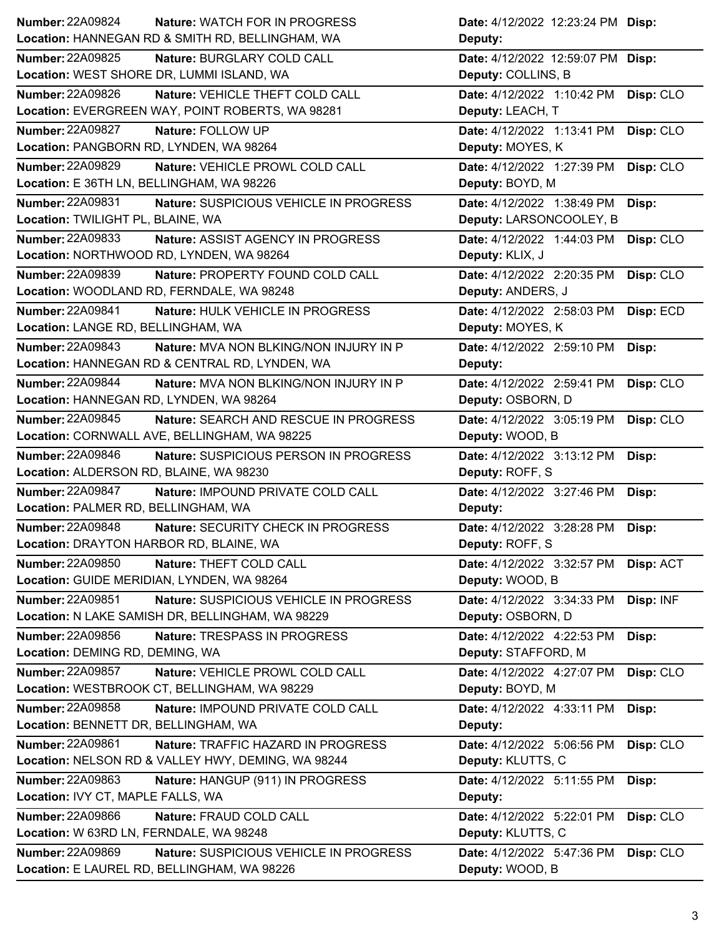| <b>Number: 22A09824</b>                            | <b>Nature: WATCH FOR IN PROGRESS</b>          | Date: 4/12/2022 12:23:24 PM Disp: |           |
|----------------------------------------------------|-----------------------------------------------|-----------------------------------|-----------|
| Location: HANNEGAN RD & SMITH RD, BELLINGHAM, WA   |                                               | Deputy:                           |           |
| <b>Number: 22A09825</b>                            | Nature: BURGLARY COLD CALL                    | Date: 4/12/2022 12:59:07 PM Disp: |           |
| Location: WEST SHORE DR, LUMMI ISLAND, WA          |                                               | Deputy: COLLINS, B                |           |
| <b>Number: 22A09826</b>                            | Nature: VEHICLE THEFT COLD CALL               | Date: 4/12/2022 1:10:42 PM        | Disp: CLO |
| Location: EVERGREEN WAY, POINT ROBERTS, WA 98281   |                                               | Deputy: LEACH, T                  |           |
| <b>Number: 22A09827</b>                            | Nature: FOLLOW UP                             | Date: 4/12/2022 1:13:41 PM        | Disp: CLO |
| Location: PANGBORN RD, LYNDEN, WA 98264            |                                               | Deputy: MOYES, K                  |           |
| <b>Number: 22A09829</b>                            | Nature: VEHICLE PROWL COLD CALL               | Date: 4/12/2022 1:27:39 PM        | Disp: CLO |
| Location: E 36TH LN, BELLINGHAM, WA 98226          |                                               | Deputy: BOYD, M                   |           |
| <b>Number: 22A09831</b>                            | Nature: SUSPICIOUS VEHICLE IN PROGRESS        | Date: 4/12/2022 1:38:49 PM        | Disp:     |
| Location: TWILIGHT PL, BLAINE, WA                  |                                               | Deputy: LARSONCOOLEY, B           |           |
| Number: 22A09833                                   | Nature: ASSIST AGENCY IN PROGRESS             | Date: 4/12/2022 1:44:03 PM        | Disp: CLO |
| Location: NORTHWOOD RD, LYNDEN, WA 98264           |                                               | Deputy: KLIX, J                   |           |
| Number: 22A09839                                   | Nature: PROPERTY FOUND COLD CALL              | Date: 4/12/2022 2:20:35 PM        | Disp: CLO |
| Location: WOODLAND RD, FERNDALE, WA 98248          |                                               | Deputy: ANDERS, J                 |           |
| <b>Number: 22A09841</b>                            | Nature: HULK VEHICLE IN PROGRESS              | Date: 4/12/2022 2:58:03 PM        | Disp: ECD |
| Location: LANGE RD, BELLINGHAM, WA                 |                                               | Deputy: MOYES, K                  |           |
| Number: 22A09843                                   | Nature: MVA NON BLKING/NON INJURY IN P        | Date: 4/12/2022 2:59:10 PM        | Disp:     |
| Location: HANNEGAN RD & CENTRAL RD, LYNDEN, WA     |                                               | Deputy:                           |           |
| <b>Number: 22A09844</b>                            | <b>Nature: MVA NON BLKING/NON INJURY IN P</b> | Date: 4/12/2022 2:59:41 PM        | Disp: CLO |
| Location: HANNEGAN RD, LYNDEN, WA 98264            |                                               | Deputy: OSBORN, D                 |           |
| Number: 22A09845                                   | Nature: SEARCH AND RESCUE IN PROGRESS         | Date: 4/12/2022 3:05:19 PM        | Disp: CLO |
| Location: CORNWALL AVE, BELLINGHAM, WA 98225       |                                               | Deputy: WOOD, B                   |           |
|                                                    |                                               |                                   |           |
| <b>Number: 22A09846</b>                            | Nature: SUSPICIOUS PERSON IN PROGRESS         | Date: 4/12/2022 3:13:12 PM        | Disp:     |
| Location: ALDERSON RD, BLAINE, WA 98230            |                                               | Deputy: ROFF, S                   |           |
| <b>Number: 22A09847</b>                            | Nature: IMPOUND PRIVATE COLD CALL             | Date: 4/12/2022 3:27:46 PM        | Disp:     |
| Location: PALMER RD, BELLINGHAM, WA                |                                               | Deputy:                           |           |
| <b>Number: 22A09848</b>                            | Nature: SECURITY CHECK IN PROGRESS            | Date: 4/12/2022 3:28:28 PM        | Disp:     |
| Location: DRAYTON HARBOR RD, BLAINE, WA            |                                               | Deputy: ROFF, S                   |           |
| <b>Number: 22A09850</b>                            | Nature: THEFT COLD CALL                       | Date: 4/12/2022 3:32:57 PM        | Disp: ACT |
| Location: GUIDE MERIDIAN, LYNDEN, WA 98264         |                                               | Deputy: WOOD, B                   |           |
| <b>Number: 22A09851</b>                            | Nature: SUSPICIOUS VEHICLE IN PROGRESS        | Date: 4/12/2022 3:34:33 PM        | Disp: INF |
| Location: N LAKE SAMISH DR, BELLINGHAM, WA 98229   |                                               | Deputy: OSBORN, D                 |           |
| Number: 22A09856                                   | Nature: TRESPASS IN PROGRESS                  | Date: 4/12/2022 4:22:53 PM        | Disp:     |
| Location: DEMING RD, DEMING, WA                    |                                               | Deputy: STAFFORD, M               |           |
| Number: 22A09857                                   | Nature: VEHICLE PROWL COLD CALL               | Date: 4/12/2022 4:27:07 PM        | Disp: CLO |
| Location: WESTBROOK CT, BELLINGHAM, WA 98229       |                                               | Deputy: BOYD, M                   |           |
| <b>Number: 22A09858</b>                            | Nature: IMPOUND PRIVATE COLD CALL             | Date: 4/12/2022 4:33:11 PM        | Disp:     |
| Location: BENNETT DR, BELLINGHAM, WA               |                                               | Deputy:                           |           |
| Number: 22A09861                                   | Nature: TRAFFIC HAZARD IN PROGRESS            | Date: 4/12/2022 5:06:56 PM        | Disp: CLO |
| Location: NELSON RD & VALLEY HWY, DEMING, WA 98244 |                                               | Deputy: KLUTTS, C                 |           |
| Number: 22A09863                                   | Nature: HANGUP (911) IN PROGRESS              | Date: 4/12/2022 5:11:55 PM        | Disp:     |
| Location: IVY CT, MAPLE FALLS, WA                  |                                               | Deputy:                           |           |
| <b>Number: 22A09866</b>                            | Nature: FRAUD COLD CALL                       | Date: 4/12/2022 5:22:01 PM        | Disp: CLO |
| Location: W 63RD LN, FERNDALE, WA 98248            |                                               | Deputy: KLUTTS, C                 |           |
| Number: 22A09869                                   | Nature: SUSPICIOUS VEHICLE IN PROGRESS        | Date: 4/12/2022 5:47:36 PM        | Disp: CLO |